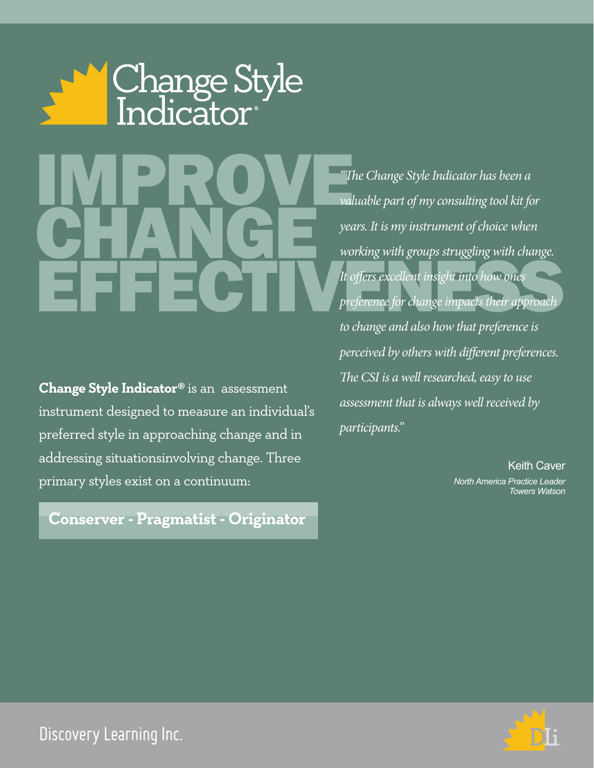

**Change Style Indicator®** is an assessment instrument designed to measure an individual's preferred style in approaching change and in addressing situationsinvolving change. Three primary styles exist on a continuum:

**Conserver - Pragmatist - Originator**

**internal in the COV of The Contract of The Contract of The Contract of The Contract of The Contract of The Contract of The Contract of The Contract of The Contract of The Contract of The Contract of The Contract of The Co** CHANGE Morking with groups strugging with change. *"The Change Style Indicator has been a valuable part of my consulting tool kit for years. It is my instrument of choice when working with groups struggling with change. It offers excellent insight into how ones preference for change impacts their approach to change and also how that preference is perceived by others with different preferences. The CSI is a well researched, easy to use assessment that is always well received by participants."*

> Keith Caver *North America Practice Leader Towers Watson*



Discovery Learning Inc.